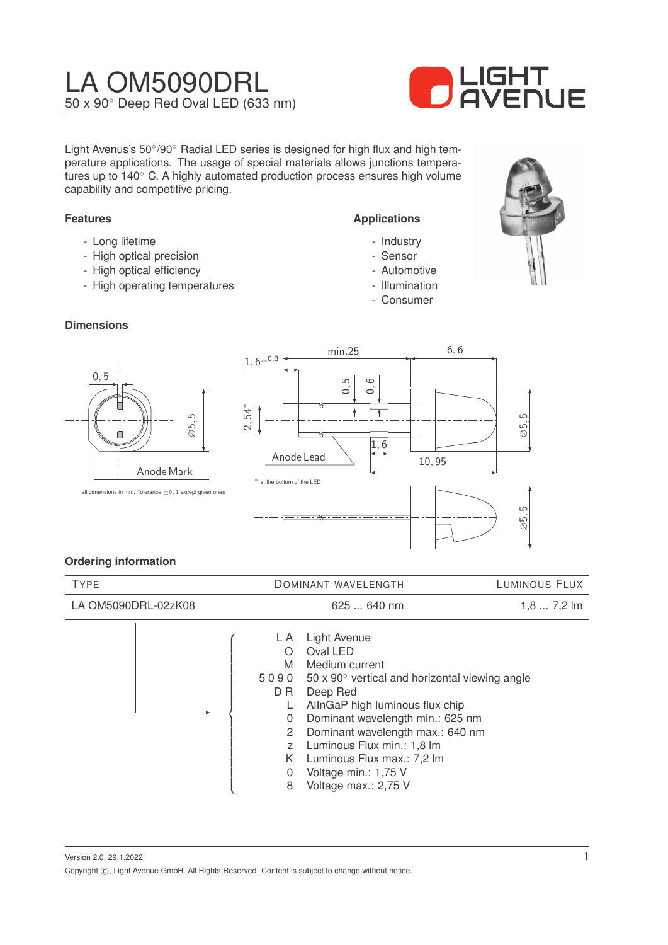# LA OM5090DRL 50 x 90◦ Deep Red Oval LED (633 nm)



Light Avenus's 50°/90° Radial LED series is designed for high flux and high temperature applications. The usage of special materials allows junctions temperatures up to 140◦ C. A highly automated production process ensures high volume capability and competitive pricing.

#### **Features**

- Long lifetime
- High optical precision
- High optical efficiency
- High operating temperatures

#### **Dimensions**

# ∅5, 5 0, 5 Anode Mark



**Applications**

- Industry - Sensor - Automotive - Illumination - Consumer

# **Ordering information**

| <b>TYPE</b>         | DOMINANT WAVELENGTH                                                                                                                                                                                                                                                                                                                                                                                                                 | LUMINOUS FLUX |
|---------------------|-------------------------------------------------------------------------------------------------------------------------------------------------------------------------------------------------------------------------------------------------------------------------------------------------------------------------------------------------------------------------------------------------------------------------------------|---------------|
| LA OM5090DRL-02zK08 | $625640$ nm                                                                                                                                                                                                                                                                                                                                                                                                                         | $1,87,2$ lm   |
|                     | Light Avenue<br>L A<br>Oval LED<br>O<br>M<br>Medium current<br>50 x 90 $^{\circ}$ vertical and horizontal viewing angle<br>5090<br>D R<br>Deep Red<br>AllnGaP high luminous flux chip<br>Dominant wavelength min.: 625 nm<br>$\Omega$<br>Dominant wavelength max.: 640 nm<br>2<br>Luminous Flux min.: 1,8 lm<br>$\overline{z}$<br>Luminous Flux max.: 7,2 lm<br>K.<br>Voltage min.: 1,75 V<br>$\Omega$<br>Voltage max.: 2,75 V<br>8 |               |

Version 2.0, 29.1.2022 Copyright ©, Light Avenue GmbH. All Rights Reserved. Content is subject to change without notice. 1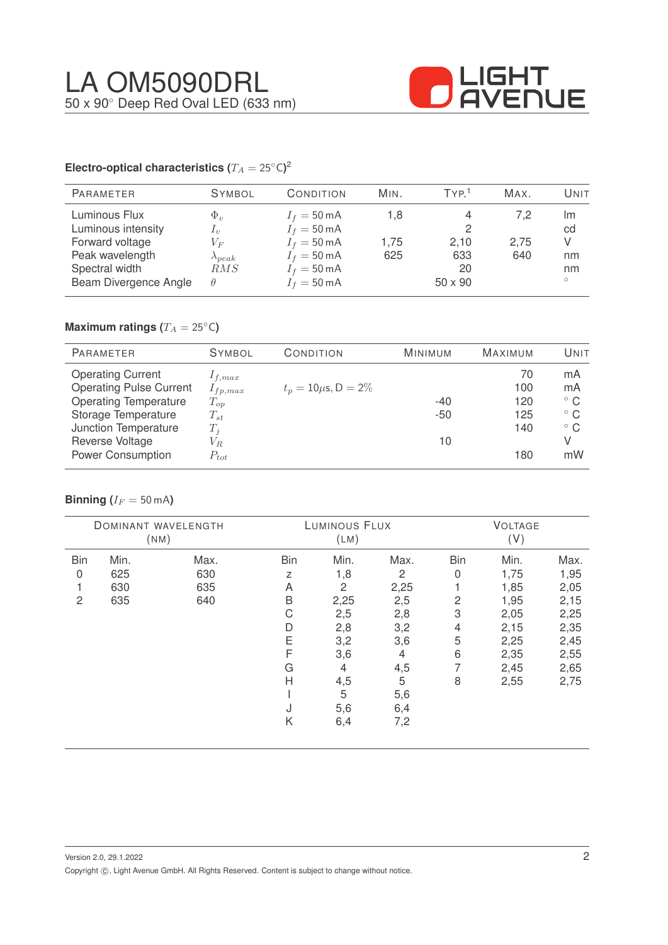

### **Electro-optical characteristics (T\_A = 25^{\circ} \text{C}</math>)<sup>2</sup>**

| <b>PARAMETER</b>                                                                                                     | <b>SYMBOL</b>                                                                 | CONDITION                                                                                                                                          | MIN.               | TYP <sup>1</sup>                  | MAX.               | Unit                                 |
|----------------------------------------------------------------------------------------------------------------------|-------------------------------------------------------------------------------|----------------------------------------------------------------------------------------------------------------------------------------------------|--------------------|-----------------------------------|--------------------|--------------------------------------|
| Luminous Flux<br>Luminous intensity<br>Forward voltage<br>Peak wavelength<br>Spectral width<br>Beam Divergence Angle | $\Phi_v$<br>$\mathcal{L}_v$<br>$V_{F}$<br>$\lambda_{peak}$<br>RMS<br>$\theta$ | $I_f = 50 \text{ mA}$<br>$I_f = 50 \text{ mA}$<br>$I_f = 50 \text{ mA}$<br>$I_f = 50 \text{ mA}$<br>$I_f = 50 \text{ mA}$<br>$I_f = 50 \text{ mA}$ | 1.8<br>1.75<br>625 | 2<br>2,10<br>633<br>20<br>50 x 90 | 7,2<br>2,75<br>640 | Im<br>cd<br>V<br>nm<br>nm<br>$\circ$ |

# **Maximum ratings (** $T_A = 25$ °C)

| <b>PARAMETER</b>               | <b>SYMBOL</b> | CONDITION                 | <b>MINIMUM</b> | <b>MAXIMUM</b> | UNIT         |
|--------------------------------|---------------|---------------------------|----------------|----------------|--------------|
| <b>Operating Current</b>       | $1_{f,max}$   |                           |                | 70             | mA           |
| <b>Operating Pulse Current</b> | $I_{fp,max}$  | $t_p = 10 \mu s, D = 2\%$ |                | 100            | mA           |
| <b>Operating Temperature</b>   | $T_{op}$      |                           | $-40$          | 120            | $^{\circ}$ C |
| Storage Temperature            | $T_{st}$      |                           | $-50$          | 125            | $^{\circ}$ C |
| Junction Temperature           | $T_i$         |                           |                | 140            | $^{\circ}$ C |
| Reverse Voltage                | $V_{R.}$      |                           | 10             |                | V            |
| <b>Power Consumption</b>       | $P_{tot}$     |                           |                | 180            | mW           |

#### **Binning** ( $I_F = 50$  mA)

|            |      | DOMINANT WAVELENGTH<br>(NM) |     | LUMINOUS FLUX<br>(LM) |      |            | <b>VOLTAGE</b><br>(V) |      |
|------------|------|-----------------------------|-----|-----------------------|------|------------|-----------------------|------|
| <b>Bin</b> | Min. | Max.                        | Bin | Min.                  | Max. | <b>Bin</b> | Min.                  | Max. |
| 0          | 625  | 630                         | Z   | 1,8                   | 2    | 0          | 1,75                  | 1,95 |
|            | 630  | 635                         | A   | 2                     | 2,25 |            | 1,85                  | 2,05 |
| 2          | 635  | 640                         | B   | 2,25                  | 2,5  | 2          | 1,95                  | 2,15 |
|            |      |                             | С   | 2,5                   | 2,8  | 3          | 2,05                  | 2,25 |
|            |      |                             | D   | 2,8                   | 3,2  | 4          | 2,15                  | 2,35 |
|            |      |                             | Ε   | 3,2                   | 3,6  | 5          | 2,25                  | 2,45 |
|            |      |                             | F   | 3,6                   | 4    | 6          | 2,35                  | 2,55 |
|            |      |                             | G   | 4                     | 4,5  | 7          | 2,45                  | 2,65 |
|            |      |                             | H   | 4,5                   | 5    | 8          | 2,55                  | 2,75 |
|            |      |                             |     | 5                     | 5,6  |            |                       |      |
|            |      |                             | J   | 5,6                   | 6,4  |            |                       |      |
|            |      |                             | Κ   | 6,4                   | 7,2  |            |                       |      |
|            |      |                             |     |                       |      |            |                       |      |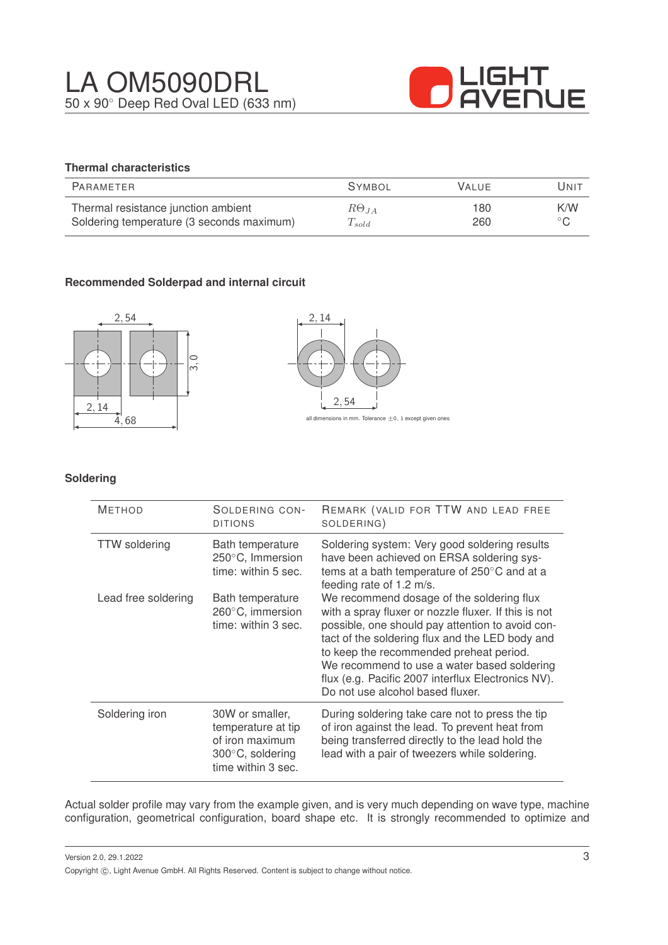

# **Thermal characteristics**

| PARAMETER                                 | <b>SYMBOL</b>  | <b>VALUE</b> | Unit           |
|-------------------------------------------|----------------|--------------|----------------|
| Thermal resistance junction ambient       | $R\Theta_{JA}$ | 180          | K/W            |
| Soldering temperature (3 seconds maximum) | $T_{solid}$    | 260          | $\circ$ $\cap$ |

# **Recommended Solderpad and internal circuit**





#### **Soldering**

| <b>METHOD</b>        | SOLDERING CON-<br><b>DITIONS</b>                                                                             | REMARK (VALID FOR TTW AND LEAD FREE<br>SOLDERING)                                                                                                                                                                                                                                                                                                                                            |
|----------------------|--------------------------------------------------------------------------------------------------------------|----------------------------------------------------------------------------------------------------------------------------------------------------------------------------------------------------------------------------------------------------------------------------------------------------------------------------------------------------------------------------------------------|
| <b>TTW</b> soldering | Bath temperature<br>250°C, Immersion<br>time: within 5 sec.                                                  | Soldering system: Very good soldering results<br>have been achieved on ERSA soldering sys-<br>tems at a bath temperature of 250°C and at a<br>feeding rate of 1.2 m/s.                                                                                                                                                                                                                       |
| Lead free soldering  | Bath temperature<br>260°C, immersion<br>time: within 3 sec.                                                  | We recommend dosage of the soldering flux<br>with a spray fluxer or nozzle fluxer. If this is not<br>possible, one should pay attention to avoid con-<br>tact of the soldering flux and the LED body and<br>to keep the recommended preheat period.<br>We recommend to use a water based soldering<br>flux (e.g. Pacific 2007 interflux Electronics NV).<br>Do not use alcohol based fluxer. |
| Soldering iron       | 30W or smaller,<br>temperature at tip<br>of iron maximum<br>$300^{\circ}$ C, soldering<br>time within 3 sec. | During soldering take care not to press the tip<br>of iron against the lead. To prevent heat from<br>being transferred directly to the lead hold the<br>lead with a pair of tweezers while soldering.                                                                                                                                                                                        |

Actual solder profile may vary from the example given, and is very much depending on wave type, machine configuration, geometrical configuration, board shape etc. It is strongly recommended to optimize and

Version 2.0, 29.1.2022 Copyright  $\circled{c}$ , Light Avenue GmbH. All Rights Reserved. Content is subject to change without notice.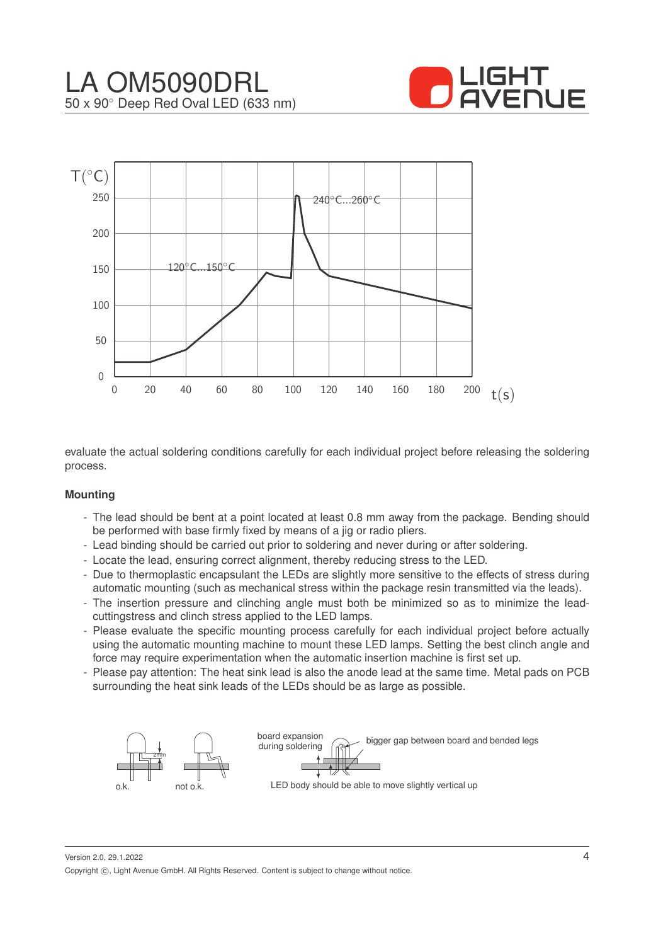



evaluate the actual soldering conditions carefully for each individual project before releasing the soldering process.

#### **Mounting**

- The lead should be bent at a point located at least 0.8 mm away from the package. Bending should be performed with base firmly fixed by means of a jig or radio pliers.
- Lead binding should be carried out prior to soldering and never during or after soldering.
- Locate the lead, ensuring correct alignment, thereby reducing stress to the LED.
- Due to thermoplastic encapsulant the LEDs are slightly more sensitive to the effects of stress during automatic mounting (such as mechanical stress within the package resin transmitted via the leads).
- The insertion pressure and clinching angle must both be minimized so as to minimize the leadcuttingstress and clinch stress applied to the LED lamps.
- Please evaluate the specific mounting process carefully for each individual project before actually using the automatic mounting machine to mount these LED lamps. Setting the best clinch angle and force may require experimentation when the automatic insertion machine is first set up.
- Please pay attention: The heat sink lead is also the anode lead at the same time. Metal pads on PCB surrounding the heat sink leads of the LEDs should be as large as possible.



Version 2.0, 29.1.2022 Copyright ©, Light Avenue GmbH. All Rights Reserved. Content is subject to change without notice.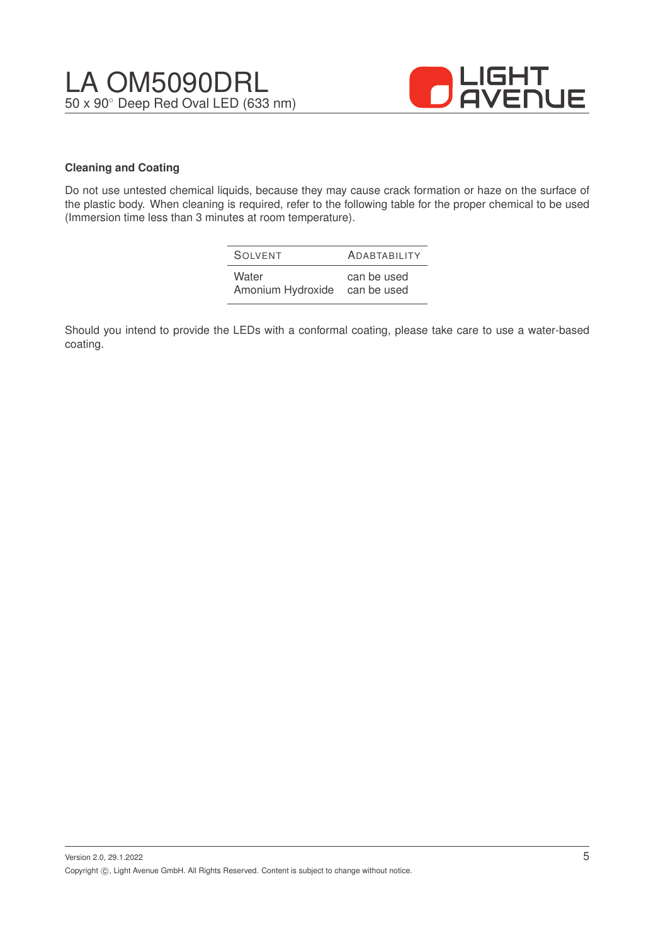

#### **Cleaning and Coating**

Do not use untested chemical liquids, because they may cause crack formation or haze on the surface of the plastic body. When cleaning is required, refer to the following table for the proper chemical to be used (Immersion time less than 3 minutes at room temperature).

| SOIVENT           | <b>ADABTABILITY</b> |
|-------------------|---------------------|
| Water             | can be used         |
| Amonium Hydroxide | can be used         |

Should you intend to provide the LEDs with a conformal coating, please take care to use a water-based coating.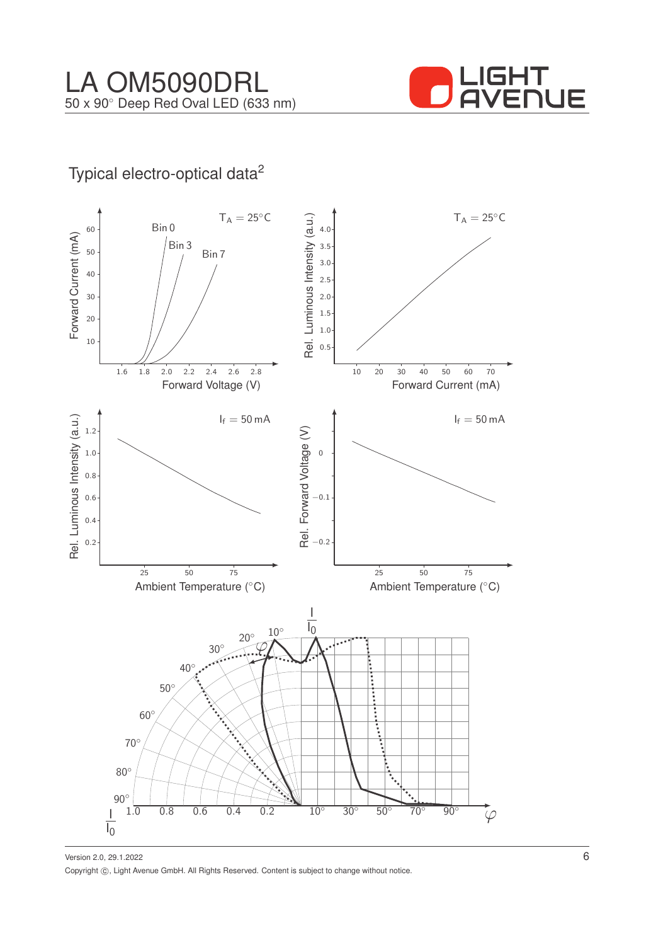

# Typical electro-optical data<sup>2</sup>

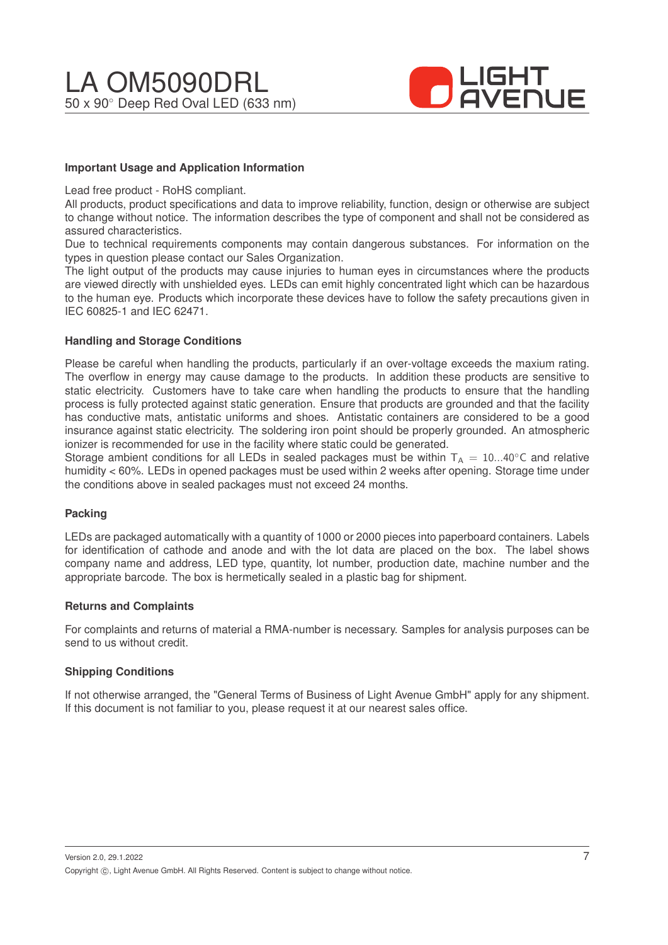

#### **Important Usage and Application Information**

Lead free product - RoHS compliant.

All products, product specifications and data to improve reliability, function, design or otherwise are subject to change without notice. The information describes the type of component and shall not be considered as assured characteristics.

Due to technical requirements components may contain dangerous substances. For information on the types in question please contact our Sales Organization.

The light output of the products may cause injuries to human eyes in circumstances where the products are viewed directly with unshielded eyes. LEDs can emit highly concentrated light which can be hazardous to the human eye. Products which incorporate these devices have to follow the safety precautions given in IEC 60825-1 and IEC 62471.

#### **Handling and Storage Conditions**

Please be careful when handling the products, particularly if an over-voltage exceeds the maxium rating. The overflow in energy may cause damage to the products. In addition these products are sensitive to static electricity. Customers have to take care when handling the products to ensure that the handling process is fully protected against static generation. Ensure that products are grounded and that the facility has conductive mats, antistatic uniforms and shoes. Antistatic containers are considered to be a good insurance against static electricity. The soldering iron point should be properly grounded. An atmospheric ionizer is recommended for use in the facility where static could be generated.

Storage ambient conditions for all LEDs in sealed packages must be within  $T_A = 10...40^\circ$ C and relative humidity < 60%. LEDs in opened packages must be used within 2 weeks after opening. Storage time under the conditions above in sealed packages must not exceed 24 months.

#### **Packing**

LEDs are packaged automatically with a quantity of 1000 or 2000 pieces into paperboard containers. Labels for identification of cathode and anode and with the lot data are placed on the box. The label shows company name and address, LED type, quantity, lot number, production date, machine number and the appropriate barcode. The box is hermetically sealed in a plastic bag for shipment.

#### **Returns and Complaints**

For complaints and returns of material a RMA-number is necessary. Samples for analysis purposes can be send to us without credit.

#### **Shipping Conditions**

If not otherwise arranged, the "General Terms of Business of Light Avenue GmbH" apply for any shipment. If this document is not familiar to you, please request it at our nearest sales office.